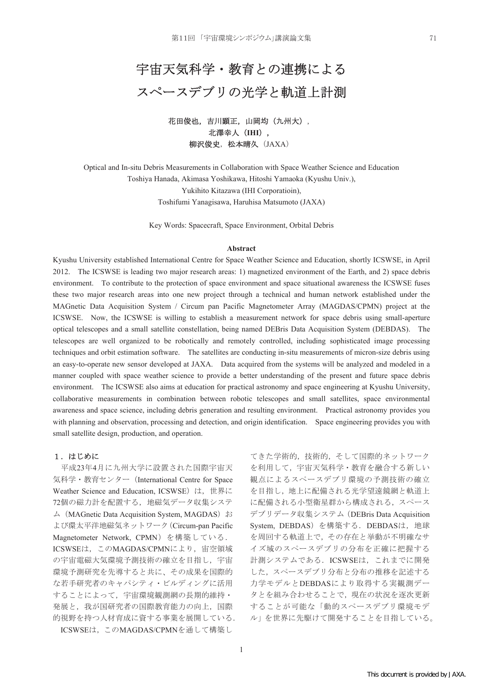# 宇宙天気科学·教育との連携による スペースデブリの光学と軌道上計測

花田俊也,吉川顕正,山岡均 (九州大), 北澤幸人 (IHI), 柳沢俊史, 松本晴久 (JAXA)

Optical and In-situ Debris Measurements in Collaboration with Space Weather Science and Education Toshiya Hanada, Akimasa Yoshikawa, Hitoshi Yamaoka (Kyushu Univ.), Yukihito Kitazawa (IHI Corporatioin), Toshifumi Yanagisawa, Haruhisa Matsumoto (JAXA)

Key Words: Spacecraft, Space Environment, Orbital Debris

#### **Abstract**

Kyushu University established International Centre for Space Weather Science and Education, shortly ICSWSE, in April 2012. The ICSWSE is leading two major research areas: 1) magnetized environment of the Earth, and 2) space debris environment. To contribute to the protection of space environment and space situational awareness the ICSWSE fuses these two major research areas into one new project through a technical and human network established under the MAGnetic Data Acquisition System / Circum pan Pacific Magnetometer Array (MAGDAS/CPMN) project at the ICSWSE. Now, the ICSWSE is willing to establish a measurement network for space debris using small-aperture optical telescopes and a small satellite constellation, being named DEBris Data Acquisition System (DEBDAS). The telescopes are well organized to be robotically and remotely controlled, including sophisticated image processing techniques and orbit estimation software. The satellites are conducting in-situ measurements of micron-size debris using an easy-to-operate new sensor developed at JAXA. Data acquired from the systems will be analyzed and modeled in a manner coupled with space weather science to provide a better understanding of the present and future space debris environment. The ICSWSE also aims at education for practical astronomy and space engineering at Kyushu University, collaborative measurements in combination between robotic telescopes and small satellites, space environmental awareness and space science, including debris generation and resulting environment. Practical astronomy provides you with planning and observation, processing and detection, and origin identification. Space engineering provides you with small satellite design, production, and operation.

### 1. はじめに

平成23年4月に九州大学に設置された国際宇宙天 気科学・教育センター (International Centre for Space Weather Science and Education, ICSWSE) は、世界に 72個の磁力計を配置する、地磁気データ収集システ ム (MAGnetic Data Acquisition System, MAGDAS) お よび環太平洋地磁気ネットワーク (Circum-pan Pacific Magnetometer Network, CPMN) を構築している. ICSWSEは、このMAGDAS/CPMNにより、宙空領域 の宇宙電磁大気環境予測技術の確立を目指し、宇宙 環境予測研究を先導すると共に、その成果を国際的 な若手研究者のキャパシティ・ビルディングに活用 することによって、宇宙環境観測網の長期的維持· 発展と、我が国研究者の国際教育能力の向上、国際 的視野を持つ人材育成に資する事業を展開している. ICSWSEは、このMAGDAS/CPMNを通して構築し

てきた学術的、技術的、そして国際的ネットワーク を利用して、宇宙天気科学·教育を融合する新しい 観点によるスペースデブリ環境の予測技術の確立 を目指し、地上に配備される光学望遠鏡網と軌道上 に配備される小型衛星群から構成される、スペース デブリデータ収集システム (DEBris Data Acquisition System, DEBDAS) を構築する. DEBDASは、地球 を周回する軌道上で、その存在と挙動が不明確なサ イズ域のスペースデブリの分布を正確に把握する 計測システムである. ICSWSEは、これまでに開発 した、スペースデブリ分布と分布の推移を記述する 力学モデルとDEBDASにより取得する実観測デー 夕とを組み合わせることで、現在の状況を逐次更新 することが可能な「動的スペースデブリ環境モデ ル」を世界に先駆けて開発することを目指している。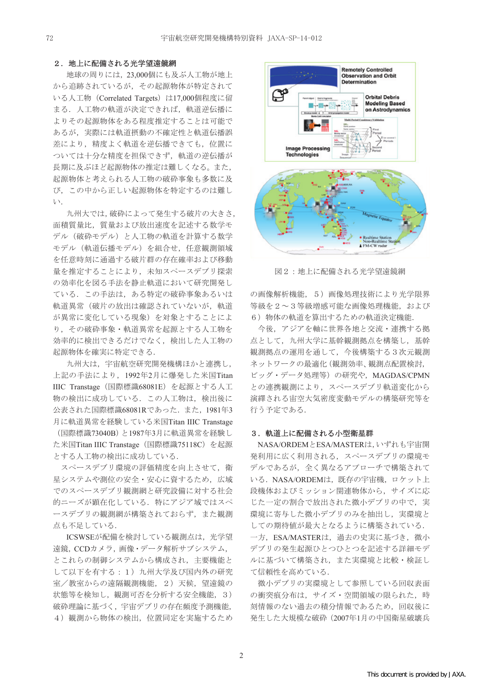#### 2. 地上に配備される光学望遠鏡網

地球の周りには、23,000個にも及ぶ人工物が地上 から追跡されているが、その起源物体が特定されて いる人工物 (Correlated Targets) は17,000個程度に留 まる. 人工物の軌道が決定できれば,軌道逆伝播に よりその起源物体をある程度推定することは可能で あるが、実際には軌道摂動の不確定性と軌道伝播誤 差により、精度よく軌道を逆伝播できても、位置に ついては十分な精度を担保できず、軌道の逆伝播が 長期に及ぶほど起源物体の推定は難しくなる。また, 起源物体と考えられる人工物の破砕事象も多数に及 び、この中から正しい起源物体を特定するのは難し  $V$ .

九州大では,破砕によって発生する破片の大きさ, 面積質量比、質量および放出速度を記述する数学モ デル (破砕モデル) と人工物の軌道を計算する数学 モデル (軌道伝播モデル)を組合せ、任意観測領域 を任意時刻に通過する破片群の存在確率および移動 量を推定することにより、未知スペースデブリ探索 の効率化を図る手法を静止軌道において研究開発し ている。この手法は、ある特定の破砕事象あるいは 軌道異常(破片の放出は確認されていないが、軌道 が異常に変化している現象)を対象とすることによ り、その破砕事象·軌道異常を起源とする人工物を 効率的に検出できるだけでなく、検出した人工物の 起源物体を確実に特定できる.

九州大は、宇宙航空研究開発機構ほかと連携し, 上記の手法により, 1992年2月に爆発した米国Titan IIIC Transtage (国際標識68081E) を起源とする人工 物の検出に成功している。この人工物は、検出後に 公表された国際標識68081Rであった. また, 1981年3 月に軌道異常を経験している米国Titan IIIC Transtage (国際標識73040B)と1987年3月に軌道異常を経験し た米国Titan IIIC Transtage (国際標識75118C) を起源 とする人工物の検出に成功している.

スペースデブリ環境の評価精度を向上させて、衛 星システムや測位の安全・安心に資するため、広域 でのスペースデブリ観測網と研究設備に対する社会 的ニーズが顕在化している。特にアジア域ではスペ ースデブリの観測網が構築されておらず、また観測 点も不足している.

ICSWSEが配備を検討している観測点は、光学望 遠鏡 CCDカメラ. 画像·データ解析サブシステム. とこれらの制御システムから構成され、主要機能と して以下を有する: 1) 九州大学及び国内外の研究 室/教室からの遠隔観測機能, 2) 天候, 望遠鏡の 状態等を検知し, 観測可否を分析する安全機能, 3) 破砕理論に基づく、宇宙デブリの存在頻度予測機能, 4) 観測から物体の検出、位置同定を実施するため



図2:地上に配備される光学望遠鏡網

の画像解析機能, 5) 画像処理技術により光学限界 等級を2~3等級増感可能な画像処理機能,および 6) 物体の軌道を算出するための軌道決定機能.

今後、アジアを軸に世界各地と交流・連携する拠 点として、九州大学に基幹観測拠点を構築し、基幹 観測拠点の運用を通して、今後構築する3次元観測 ネットワークの最適化 (観測効率、観測点配置検討, ビッグ・データ処理等)の研究や、MAGDAS/CPMN との連携観測により、スペースデブリ軌道変化から 滴繹される宙空大気密度変動モデルの構築研究等を 行う予定である.

#### 3. 軌道上に配備される小型衛星群

NASA/ORDEMとESA/MASTERは、いずれも宇宙開 発利用に広く利用される、スペースデブリの環境モ デルであるが、全く異なるアプローチで構築されて いる. NASA/ORDEMは、既存の宇宙機、ロケット上 段機体およびミッション関連物体から、サイズに応 じた一定の割合で放出された微小デブリの中で、実 環境に寄与した微小デブリのみを抽出し、実環境と しての期待値が最大となるように構築されている. 一方, ESA/MASTERは、過去の史実に基づき、微小 デブリの発生起源ひとつひとつを記述する詳細モデ ルに基づいて構築され、また実環境と比較·検証し て信頼性を高めている.

微小デブリの実環境として参照している回収表面 の衝突痕分布は、サイズ・空間領域の限られた、時 刻情報のない過去の積分情報であるため、回収後に 発生した大規模な破砕 (2007年1月の中国衛星破壊兵